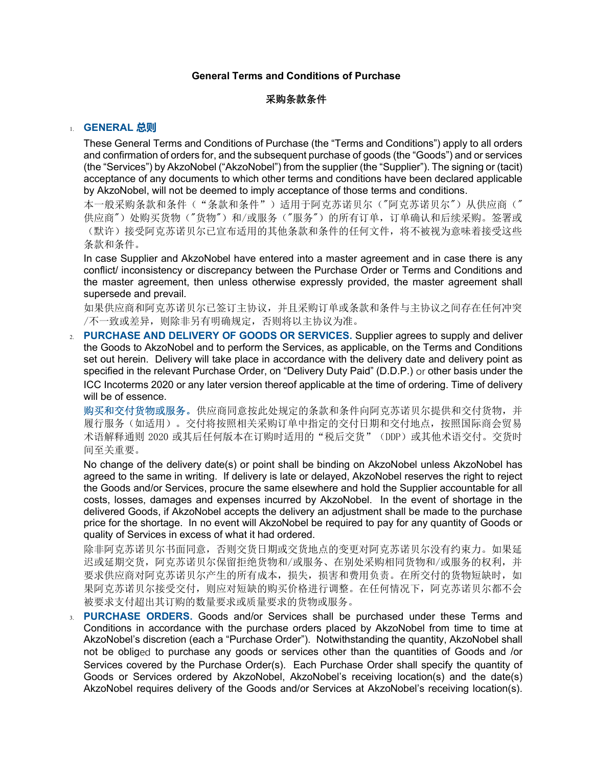## General Terms and Conditions of Purchase

## 采购条款条件

## 1. GENERAL 总则

These General Terms and Conditions of Purchase (the "Terms and Conditions") apply to all orders and confirmation of orders for, and the subsequent purchase of goods (the "Goods") and or services (the "Services") by AkzoNobel ("AkzoNobel") from the supplier (the "Supplier"). The signing or (tacit) acceptance of any documents to which other terms and conditions have been declared applicable by AkzoNobel, will not be deemed to imply acceptance of those terms and conditions.

本一般采购条款和条件("条款和条件")适用于阿克苏诺贝尔("阿克苏诺贝尔")从供应商(" 供应商")处购买货物("货物")和/或服务("服务")的所有订单,订单确认和后续采购。签署或 (默许)接受阿克苏诺贝尔已宣布适用的其他条款和条件的任何文件,将不被视为意味着接受这些 条款和条件。

In case Supplier and AkzoNobel have entered into a master agreement and in case there is any conflict/ inconsistency or discrepancy between the Purchase Order or Terms and Conditions and the master agreement, then unless otherwise expressly provided, the master agreement shall supersede and prevail.

如果供应商和阿克苏诺贝尔已签订主协议,并且采购订单或条款和条件与主协议之间存在任何冲突 /不一致或差异,则除非另有明确规定,否则将以主协议为准。

2. PURCHASE AND DELIVERY OF GOODS OR SERVICES. Supplier agrees to supply and deliver the Goods to AkzoNobel and to perform the Services, as applicable, on the Terms and Conditions set out herein. Delivery will take place in accordance with the delivery date and delivery point as specified in the relevant Purchase Order, on "Delivery Duty Paid" (D.D.P.) or other basis under the ICC Incoterms 2020 or any later version thereof applicable at the time of ordering. Time of delivery will be of essence.

购买和交付货物或服务。供应商同意按此处规定的条款和条件向阿克苏诺贝尔提供和交付货物,并 履行服务(如适用)。交付将按照相关采购订单中指定的交付日期和交付地点,按照国际商会贸易 术语解释通则 2020 或其后任何版本在订购时适用的"税后交货"(DDP) 或其他术语交付。交货时 间至关重要。

No change of the delivery date(s) or point shall be binding on AkzoNobel unless AkzoNobel has agreed to the same in writing. If delivery is late or delayed, AkzoNobel reserves the right to reject the Goods and/or Services, procure the same elsewhere and hold the Supplier accountable for all costs, losses, damages and expenses incurred by AkzoNobel. In the event of shortage in the delivered Goods, if AkzoNobel accepts the delivery an adjustment shall be made to the purchase price for the shortage. In no event will AkzoNobel be required to pay for any quantity of Goods or quality of Services in excess of what it had ordered.

除非阿克苏诺贝尔书面同意,否则交货日期或交货地点的变更对阿克苏诺贝尔没有约束力。如果延 迟或延期交货,阿克苏诺贝尔保留拒绝货物和/或服务、在别处采购相同货物和/或服务的权利,并 要求供应商对阿克苏诺贝尔产生的所有成本,损失,损害和费用负责。在所交付的货物短缺时,如 果阿克苏诺贝尔接受交付,则应对短缺的购买价格进行调整。在任何情况下,阿克苏诺贝尔都不会 被要求支付超出其订购的数量要求或质量要求的货物或服务。

3. PURCHASE ORDERS. Goods and/or Services shall be purchased under these Terms and Conditions in accordance with the purchase orders placed by AkzoNobel from time to time at AkzoNobel's discretion (each a "Purchase Order"). Notwithstanding the quantity, AkzoNobel shall not be obliged to purchase any goods or services other than the quantities of Goods and /or Services covered by the Purchase Order(s). Each Purchase Order shall specify the quantity of Goods or Services ordered by AkzoNobel, AkzoNobel's receiving location(s) and the date(s) AkzoNobel requires delivery of the Goods and/or Services at AkzoNobel's receiving location(s).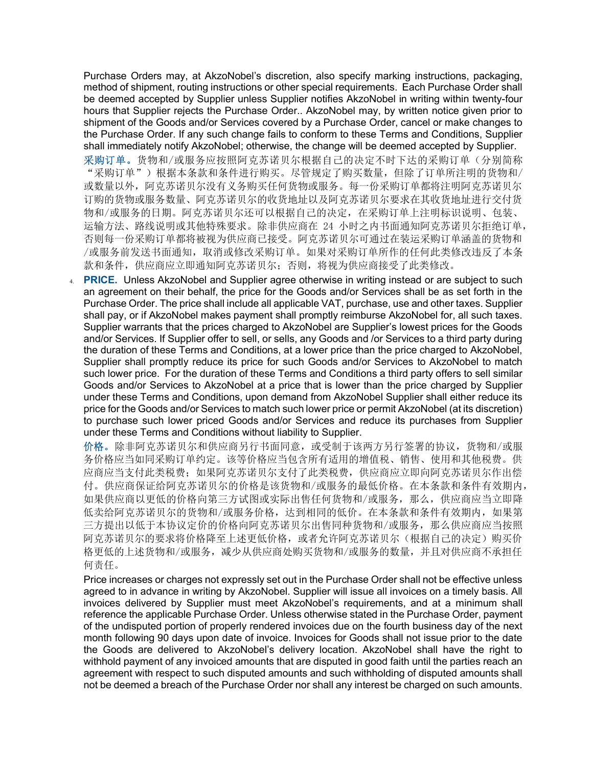Purchase Orders may, at AkzoNobel's discretion, also specify marking instructions, packaging, method of shipment, routing instructions or other special requirements. Each Purchase Order shall be deemed accepted by Supplier unless Supplier notifies AkzoNobel in writing within twenty-four hours that Supplier rejects the Purchase Order.. AkzoNobel may, by written notice given prior to shipment of the Goods and/or Services covered by a Purchase Order, cancel or make changes to the Purchase Order. If any such change fails to conform to these Terms and Conditions, Supplier shall immediately notify AkzoNobel; otherwise, the change will be deemed accepted by Supplier.

采购订单。货物和/或服务应按照阿克苏诺贝尔根据自己的决定不时下达的采购订单(分别简称 "采购订单")根据本条款和条件进行购买。尽管规定了购买数量,但除了订单所注明的货物和/ 或数量以外,阿克苏诺贝尔没有义务购买任何货物或服务。每一份采购订单都将注明阿克苏诺贝尔 订购的货物或服务数量、阿克苏诺贝尔的收货地址以及阿克苏诺贝尔要求在其收货地址进行交付货 物和/或服务的日期。阿克苏诺贝尔还可以根据自己的决定,在采购订单上注明标识说明、包装、 运输方法、路线说明或其他特殊要求。除非供应商在 24 小时之内书面通知阿克苏诺贝尔拒绝订单, 否则每一份采购订单都将被视为供应商已接受。阿克苏诺贝尔可通过在装运采购订单涵盖的货物和 /或服务前发送书面通知,取消或修改采购订单。如果对采购订单所作的任何此类修改违反了本条 款和条件,供应商应立即通知阿克苏诺贝尔;否则,将视为供应商接受了此类修改。

4. PRICE. Unless AkzoNobel and Supplier agree otherwise in writing instead or are subject to such an agreement on their behalf, the price for the Goods and/or Services shall be as set forth in the Purchase Order. The price shall include all applicable VAT, purchase, use and other taxes. Supplier shall pay, or if AkzoNobel makes payment shall promptly reimburse AkzoNobel for, all such taxes. Supplier warrants that the prices charged to AkzoNobel are Supplier's lowest prices for the Goods and/or Services. If Supplier offer to sell, or sells, any Goods and /or Services to a third party during the duration of these Terms and Conditions, at a lower price than the price charged to AkzoNobel, Supplier shall promptly reduce its price for such Goods and/or Services to AkzoNobel to match such lower price. For the duration of these Terms and Conditions a third party offers to sell similar Goods and/or Services to AkzoNobel at a price that is lower than the price charged by Supplier under these Terms and Conditions, upon demand from AkzoNobel Supplier shall either reduce its price for the Goods and/or Services to match such lower price or permit AkzoNobel (at its discretion) to purchase such lower priced Goods and/or Services and reduce its purchases from Supplier under these Terms and Conditions without liability to Supplier.

价格。除非阿克苏诺贝尔和供应商另行书面同意,或受制于该两方另行签署的协议,货物和/或服 务价格应当如同采购订单约定。该等价格应当包含所有适用的增值税、销售、使用和其他税费。供 应商应当支付此类税费;如果阿克苏诺贝尔支付了此类税费,供应商应立即向阿克苏诺贝尔作出偿 付。供应商保证给阿克苏诺贝尔的价格是该货物和/或服务的最低价格。在本条款和条件有效期内, 如果供应商以更低的价格向第三方试图或实际出售任何货物和/或服务,那么,供应商应当立即降 低卖给阿克苏诺贝尔的货物和/或服务价格,达到相同的低价。在本条款和条件有效期内,如果第 三方提出以低于本协议定价的价格向阿克苏诺贝尔出售同种货物和/或服务,那么供应商应当按照 阿克苏诺贝尔的要求将价格降至上述更低价格,或者允许阿克苏诺贝尔(根据自己的决定)购买价 格更低的上述货物和/或服务,减少从供应商处购买货物和/或服务的数量,并且对供应商不承担任 何责任。

Price increases or charges not expressly set out in the Purchase Order shall not be effective unless agreed to in advance in writing by AkzoNobel. Supplier will issue all invoices on a timely basis. All invoices delivered by Supplier must meet AkzoNobel's requirements, and at a minimum shall reference the applicable Purchase Order. Unless otherwise stated in the Purchase Order, payment of the undisputed portion of properly rendered invoices due on the fourth business day of the next month following 90 days upon date of invoice. Invoices for Goods shall not issue prior to the date the Goods are delivered to AkzoNobel's delivery location. AkzoNobel shall have the right to withhold payment of any invoiced amounts that are disputed in good faith until the parties reach an agreement with respect to such disputed amounts and such withholding of disputed amounts shall not be deemed a breach of the Purchase Order nor shall any interest be charged on such amounts.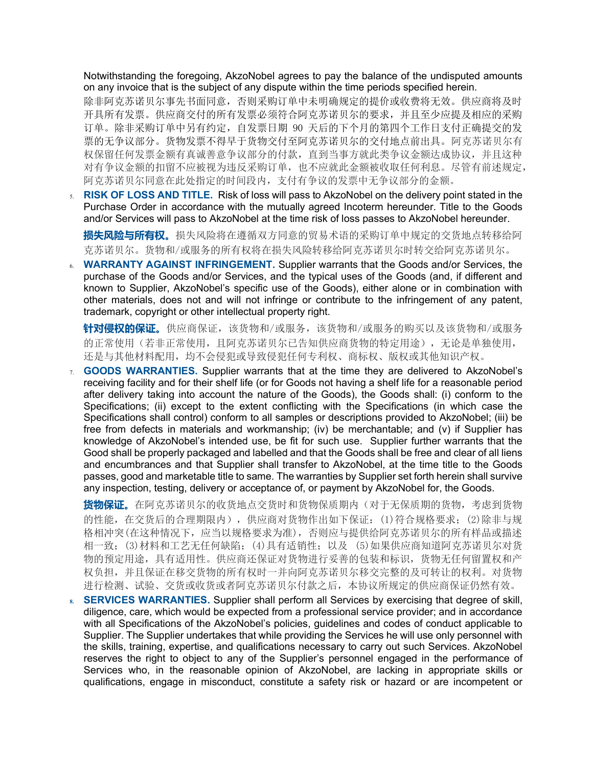Notwithstanding the foregoing, AkzoNobel agrees to pay the balance of the undisputed amounts on any invoice that is the subject of any dispute within the time periods specified herein.

除非阿克苏诺贝尔事先书面同意,否则采购订单中未明确规定的提价或收费将无效。供应商将及时 开具所有发票。供应商交付的所有发票必须符合阿克苏诺贝尔的要求,并且至少应提及相应的采购 订单。除非采购订单中另有约定,自发票日期 90 天后的下个月的第四个工作日支付正确提交的发 票的无争议部分。货物发票不得早于货物交付至阿克苏诺贝尔的交付地点前出具。阿克苏诺贝尔有 权保留任何发票金额有真诚善意争议部分的付款,直到当事方就此类争议金额达成协议,并且这种 对有争议金额的扣留不应被视为违反采购订单,也不应就此金额被收取任何利息。尽管有前述规定, 阿克苏诺贝尔同意在此处指定的时间段内,支付有争议的发票中无争议部分的金额。

5. RISK OF LOSS AND TITLE. Risk of loss will pass to AkzoNobel on the delivery point stated in the Purchase Order in accordance with the mutually agreed Incoterm hereunder. Title to the Goods and/or Services will pass to AkzoNobel at the time risk of loss passes to AkzoNobel hereunder.

损失风险与所有权。损失风险将在遵循双方同意的贸易术语的采购订单中规定的交货地点转移给阿 克苏诺贝尔。货物和/或服务的所有权将在损失风险转移给阿克苏诺贝尔时转交给阿克苏诺贝尔。

6. WARRANTY AGAINST INFRINGEMENT. Supplier warrants that the Goods and/or Services, the purchase of the Goods and/or Services, and the typical uses of the Goods (and, if different and known to Supplier, AkzoNobel's specific use of the Goods), either alone or in combination with other materials, does not and will not infringe or contribute to the infringement of any patent, trademark, copyright or other intellectual property right.

针对侵权的保证。供应商保证,该货物和/或服务,该货物和/或服务的购买以及该货物和/或服务 的正常使用(若非正常使用,且阿克苏诺贝尔已告知供应商货物的特定用途),无论是单独使用, 还是与其他材料配用,均不会侵犯或导致侵犯任何专利权、商标权、版权或其他知识产权。

7. **GOODS WARRANTIES.** Supplier warrants that at the time they are delivered to AkzoNobel's receiving facility and for their shelf life (or for Goods not having a shelf life for a reasonable period after delivery taking into account the nature of the Goods), the Goods shall: (i) conform to the Specifications; (ii) except to the extent conflicting with the Specifications (in which case the Specifications shall control) conform to all samples or descriptions provided to AkzoNobel; (iii) be free from defects in materials and workmanship; (iv) be merchantable; and (v) if Supplier has knowledge of AkzoNobel's intended use, be fit for such use. Supplier further warrants that the Good shall be properly packaged and labelled and that the Goods shall be free and clear of all liens and encumbrances and that Supplier shall transfer to AkzoNobel, at the time title to the Goods passes, good and marketable title to same. The warranties by Supplier set forth herein shall survive any inspection, testing, delivery or acceptance of, or payment by AkzoNobel for, the Goods.

货物保证。在阿克苏诺贝尔的收货地点交货时和货物保质期内(对于无保质期的货物,考虑到货物 的性能,在交货后的合理期限内),供应商对货物作出如下保证:(1)符合规格要求;(2)除非与规 格相冲突(在这种情况下,应当以规格要求为准),否则应与提供给阿克苏诺贝尔的所有样品或描述 相一致;(3)材料和工艺无任何缺陷;(4)具有适销性;以及 (5)如果供应商知道阿克苏诺贝尔对货 物的预定用途,具有适用性。供应商还保证对货物进行妥善的包装和标识,货物无任何留置权和产 权负担,并且保证在移交货物的所有权时一并向阿克苏诺贝尔移交完整的及可转让的权利。对货物 进行检测、试验、交货或收货或者阿克苏诺贝尔付款之后,本协议所规定的供应商保证仍然有效。

8. SERVICES WARRANTIES. Supplier shall perform all Services by exercising that degree of skill, diligence, care, which would be expected from a professional service provider; and in accordance with all Specifications of the AkzoNobel's policies, guidelines and codes of conduct applicable to Supplier. The Supplier undertakes that while providing the Services he will use only personnel with the skills, training, expertise, and qualifications necessary to carry out such Services. AkzoNobel reserves the right to object to any of the Supplier's personnel engaged in the performance of Services who, in the reasonable opinion of AkzoNobel, are lacking in appropriate skills or qualifications, engage in misconduct, constitute a safety risk or hazard or are incompetent or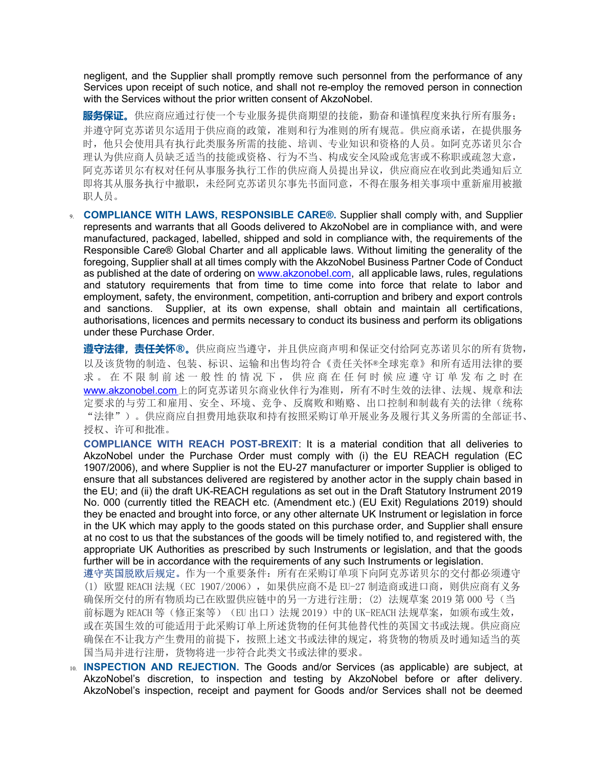negligent, and the Supplier shall promptly remove such personnel from the performance of any Services upon receipt of such notice, and shall not re-employ the removed person in connection with the Services without the prior written consent of AkzoNobel.

服务保证。供应商应通过行使一个专业服务提供商期望的技能,勤奋和谨慎程度来执行所有服务; 并遵守阿克苏诺贝尔适用于供应商的政策,准则和行为准则的所有规范。供应商承诺,在提供服务 时,他只会使用具有执行此类服务所需的技能、培训、专业知识和资格的人员。如阿克苏诺贝尔合 理认为供应商人员缺乏适当的技能或资格、行为不当、构成安全风险或危害或不称职或疏忽大意, 阿克苏诺贝尔有权对任何从事服务执行工作的供应商人员提出异议,供应商应在收到此类通知后立 即将其从服务执行中撤职,未经阿克苏诺贝尔事先书面同意,不得在服务相关事项中重新雇用被撤 职人员。

9. COMPLIANCE WITH LAWS, RESPONSIBLE CARE®. Supplier shall comply with, and Supplier represents and warrants that all Goods delivered to AkzoNobel are in compliance with, and were manufactured, packaged, labelled, shipped and sold in compliance with, the requirements of the Responsible Care® Global Charter and all applicable laws. Without limiting the generality of the foregoing, Supplier shall at all times comply with the AkzoNobel Business Partner Code of Conduct as published at the date of ordering on www.akzonobel.com, all applicable laws, rules, regulations and statutory requirements that from time to time come into force that relate to labor and employment, safety, the environment, competition, anti-corruption and bribery and export controls and sanctions. Supplier, at its own expense, shall obtain and maintain all certifications, authorisations, licences and permits necessary to conduct its business and perform its obligations under these Purchase Order.

道守法律,责任关怀®。供应商应当遵守,并且供应商声明和保证交付给阿克苏诺贝尔的所有货物, 以及该货物的制造、包装、标识、运输和出售均符合《责任关怀®全球宪章》和所有适用法律的要 求。在不限制前述一般性的情况下,供应商在任何时候应遵守订单发布之时在 www.akzonobel.com上的阿克苏诺贝尔商业伙伴行为准则,所有不时生效的法律、法规、规章和法 定要求的与劳工和雇用、安全、环境、竞争、反腐败和贿赂、出口控制和制裁有关的法律(统称 "法律")。供应商应自担费用地获取和持有按照采购订单开展业务及履行其义务所需的全部证书、 授权、许可和批准。

COMPLIANCE WITH REACH POST-BREXIT: It is a material condition that all deliveries to AkzoNobel under the Purchase Order must comply with (i) the EU REACH regulation (EC 1907/2006), and where Supplier is not the EU-27 manufacturer or importer Supplier is obliged to ensure that all substances delivered are registered by another actor in the supply chain based in the EU; and (ii) the draft UK-REACH regulations as set out in the Draft Statutory Instrument 2019 No. 000 (currently titled the REACH etc. (Amendment etc.) (EU Exit) Regulations 2019) should they be enacted and brought into force, or any other alternate UK Instrument or legislation in force in the UK which may apply to the goods stated on this purchase order, and Supplier shall ensure at no cost to us that the substances of the goods will be timely notified to, and registered with, the appropriate UK Authorities as prescribed by such Instruments or legislation, and that the goods further will be in accordance with the requirements of any such Instruments or legislation.

遵守英国脱欧后规定。作为一个重要条件:所有在采购订单项下向阿克苏诺贝尔的交付都必须遵守 (1) 欧盟 REACH 法规(EC 1907/2006),如果供应商不是 EU-27 制造商或进口商,则供应商有义务 确保所交付的所有物质均己在欧盟供应链中的另一方进行注册; (2) 法规草案 2019 第 000 号 (当 前标题为 REACH 等(修正案等)(EU 出口)法规 2019)中的 UK-REACH 法规草案, 如颁布或生效, 或在英国生效的可能适用于此采购订单上所述货物的任何其他替代性的英国文书或法规。供应商应 确保在不让我方产生费用的前提下,按照上述文书或法律的规定,将货物的物质及时通知适当的英 国当局并进行注册,货物将进一步符合此类文书或法律的要求。

10. **INSPECTION AND REJECTION.** The Goods and/or Services (as applicable) are subject, at AkzoNobel's discretion, to inspection and testing by AkzoNobel before or after delivery. AkzoNobel's inspection, receipt and payment for Goods and/or Services shall not be deemed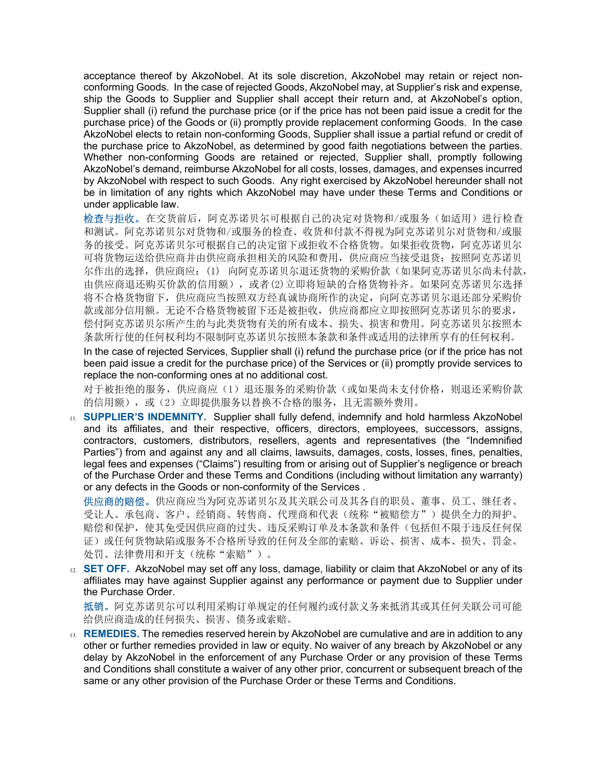acceptance thereof by AkzoNobel. At its sole discretion, AkzoNobel may retain or reject nonconforming Goods. In the case of rejected Goods, AkzoNobel may, at Supplier's risk and expense, ship the Goods to Supplier and Supplier shall accept their return and, at AkzoNobel's option, Supplier shall (i) refund the purchase price (or if the price has not been paid issue a credit for the purchase price) of the Goods or (ii) promptly provide replacement conforming Goods. In the case AkzoNobel elects to retain non-conforming Goods, Supplier shall issue a partial refund or credit of the purchase price to AkzoNobel, as determined by good faith negotiations between the parties. Whether non-conforming Goods are retained or rejected, Supplier shall, promptly following AkzoNobel's demand, reimburse AkzoNobel for all costs, losses, damages, and expenses incurred by AkzoNobel with respect to such Goods. Any right exercised by AkzoNobel hereunder shall not be in limitation of any rights which AkzoNobel may have under these Terms and Conditions or under applicable law.

检查与拒收。在交货前后,阿克苏诺贝尔可根据自己的决定对货物和/或服务(如适用)进行检查 和测试。阿克苏诺贝尔对货物和/或服务的检查、收货和付款不得视为阿克苏诺贝尔对货物和/或服 务的接受。阿克苏诺贝尔可根据自己的决定留下或拒收不合格货物。如果拒收货物,阿克苏诺贝尔 可将货物运送给供应商并由供应商承担相关的风险和费用,供应商应当接受退货;按照阿克苏诺贝 尔作出的选择,供应商应:(1) 向阿克苏诺贝尔退还货物的采购价款(如果阿克苏诺贝尔尚未付款, 由供应商退还购买价款的信用额),或者(2)立即将短缺的合格货物补齐。如果阿克苏诺贝尔选择 将不合格货物留下,供应商应当按照双方经真诚协商所作的决定,向阿克苏诺贝尔退还部分采购价 款或部分信用额。无论不合格货物被留下还是被拒收,供应商都应立即按照阿克苏诺贝尔的要求, 偿付阿克苏诺贝尔所产生的与此类货物有关的所有成本、损失、损害和费用。阿克苏诺贝尔按照本 条款所行使的任何权利均不限制阿克苏诺贝尔按照本条款和条件或适用的法律所享有的任何权利。

In the case of rejected Services, Supplier shall (i) refund the purchase price (or if the price has not been paid issue a credit for the purchase price) of the Services or (ii) promptly provide services to replace the non-conforming ones at no additional cost.

对于被拒绝的服务,供应商应(1)退还服务的采购价款(或如果尚未支付价格,则退还采购价款 的信用额), 或(2)立即提供服务以替换不合格的服务, 且无需额外费用。

11. **SUPPLIER'S INDEMNITY.** Supplier shall fully defend, indemnify and hold harmless AkzoNobel and its affiliates, and their respective, officers, directors, employees, successors, assigns, contractors, customers, distributors, resellers, agents and representatives (the "Indemnified Parties") from and against any and all claims, lawsuits, damages, costs, losses, fines, penalties, legal fees and expenses ("Claims") resulting from or arising out of Supplier's negligence or breach of the Purchase Order and these Terms and Conditions (including without limitation any warranty) or any defects in the Goods or non-conformity of the Services .

供应商的赔偿。供应商应当为阿克苏诺贝尔及其关联公司及其各自的职员、董事、员工、继任者、 受让人、承包商、客户、经销商、转售商、代理商和代表(统称"被赔偿方")提供全力的辩护、 赔偿和保护,使其免受因供应商的过失、违反采购订单及本条款和条件(包括但不限于违反任何保 证)或任何货物缺陷或服务不合格所导致的任何及全部的索赔、诉讼、损害、成本、损失、罚金、 处罚、法律费用和开支(统称"索赔")。

12. SET OFF. AkzoNobel may set off any loss, damage, liability or claim that AkzoNobel or any of its affiliates may have against Supplier against any performance or payment due to Supplier under the Purchase Order.

抵销。阿克苏诺贝尔可以利用采购订单规定的任何履约或付款义务来抵消其或其任何关联公司可能 给供应商造成的任何损失、损害、债务或索赔。

13. REMEDIES. The remedies reserved herein by AkzoNobel are cumulative and are in addition to any other or further remedies provided in law or equity. No waiver of any breach by AkzoNobel or any delay by AkzoNobel in the enforcement of any Purchase Order or any provision of these Terms and Conditions shall constitute a waiver of any other prior, concurrent or subsequent breach of the same or any other provision of the Purchase Order or these Terms and Conditions.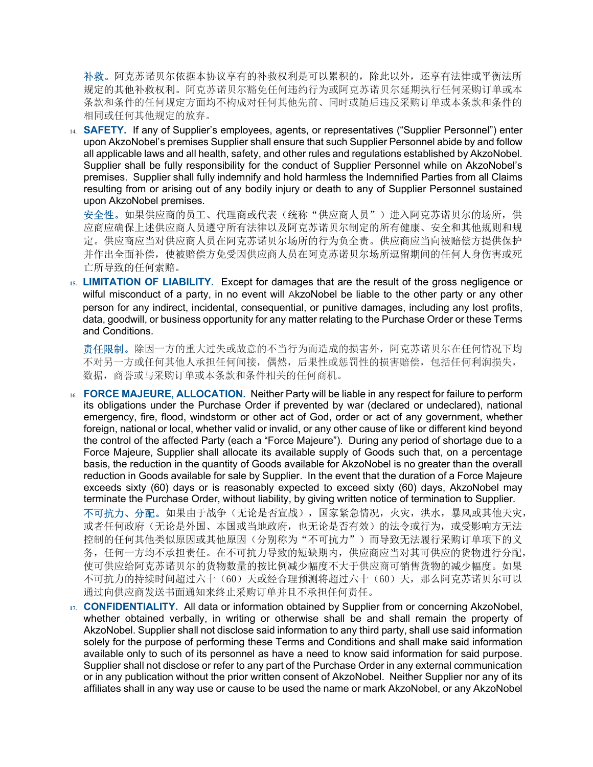补救。阿克苏诺贝尔依据本协议享有的补救权利是可以累积的,除此以外,还享有法律或平衡法所 规定的其他补救权利。阿克苏诺贝尔豁免任何违约行为或阿克苏诺贝尔延期执行任何采购订单或本 条款和条件的任何规定方面均不构成对任何其他先前、同时或随后违反采购订单或本条款和条件的 相同或任何其他规定的放弃。

14. SAFETY. If any of Supplier's employees, agents, or representatives ("Supplier Personnel") enter upon AkzoNobel's premises Supplier shall ensure that such Supplier Personnel abide by and follow all applicable laws and all health, safety, and other rules and regulations established by AkzoNobel. Supplier shall be fully responsibility for the conduct of Supplier Personnel while on AkzoNobel's premises. Supplier shall fully indemnify and hold harmless the Indemnified Parties from all Claims resulting from or arising out of any bodily injury or death to any of Supplier Personnel sustained upon AkzoNobel premises.

安全性。如果供应商的员工、代理商或代表(统称"供应商人员")进入阿克苏诺贝尔的场所,供 应商应确保上述供应商人员遵守所有法律以及阿克苏诺贝尔制定的所有健康、安全和其他规则和规 定。供应商应当对供应商人员在阿克苏诺贝尔场所的行为负全责。供应商应当向被赔偿方提供保护 并作出全面补偿,使被赔偿方免受因供应商人员在阿克苏诺贝尔场所逗留期间的任何人身伤害或死 亡所导致的任何索赔。

15. LIMITATION OF LIABILITY. Except for damages that are the result of the gross negligence or wilful misconduct of a party, in no event will AkzoNobel be liable to the other party or any other person for any indirect, incidental, consequential, or punitive damages, including any lost profits, data, goodwill, or business opportunity for any matter relating to the Purchase Order or these Terms and Conditions.

责任限制。除因一方的重大过失或故意的不当行为而造成的损害外,阿克苏诺贝尔在任何情况下均 不对另一方或任何其他人承担任何间接,偶然,后果性或惩罚性的损害赔偿,包括任何利润损失, 数据,商誉或与采购订单或本条款和条件相关的任何商机。

16. FORCE MAJEURE, ALLOCATION. Neither Party will be liable in any respect for failure to perform its obligations under the Purchase Order if prevented by war (declared or undeclared), national emergency, fire, flood, windstorm or other act of God, order or act of any government, whether foreign, national or local, whether valid or invalid, or any other cause of like or different kind beyond the control of the affected Party (each a "Force Majeure"). During any period of shortage due to a Force Majeure, Supplier shall allocate its available supply of Goods such that, on a percentage basis, the reduction in the quantity of Goods available for AkzoNobel is no greater than the overall reduction in Goods available for sale by Supplier. In the event that the duration of a Force Majeure exceeds sixty (60) days or is reasonably expected to exceed sixty (60) days, AkzoNobel may terminate the Purchase Order, without liability, by giving written notice of termination to Supplier.

不可抗力、分配。如果由于战争(无论是否宣战),国家紧急情况,火灾,洪水,暴风或其他天灾, 或者任何政府(无论是外国、本国或当地政府,也无论是否有效)的法令或行为,或受影响方无法 控制的任何其他类似原因或其他原因(分别称为"不可抗力")而导致无法履行采购订单项下的义 务,任何一方均不承担责任。在不可抗力导致的短缺期内,供应商应当对其可供应的货物进行分配, 使可供应给阿克苏诺贝尔的货物数量的按比例减少幅度不大于供应商可销售货物的减少幅度。如果 不可抗力的持续时间超过六十(60)天或经合理预测将超过六十(60)天,那么阿克苏诺贝尔可以 通过向供应商发送书面通知来终止采购订单并且不承担任何责任。

17. CONFIDENTIALITY. All data or information obtained by Supplier from or concerning AkzoNobel, whether obtained verbally, in writing or otherwise shall be and shall remain the property of AkzoNobel. Supplier shall not disclose said information to any third party, shall use said information solely for the purpose of performing these Terms and Conditions and shall make said information available only to such of its personnel as have a need to know said information for said purpose. Supplier shall not disclose or refer to any part of the Purchase Order in any external communication or in any publication without the prior written consent of AkzoNobel. Neither Supplier nor any of its affiliates shall in any way use or cause to be used the name or mark AkzoNobel, or any AkzoNobel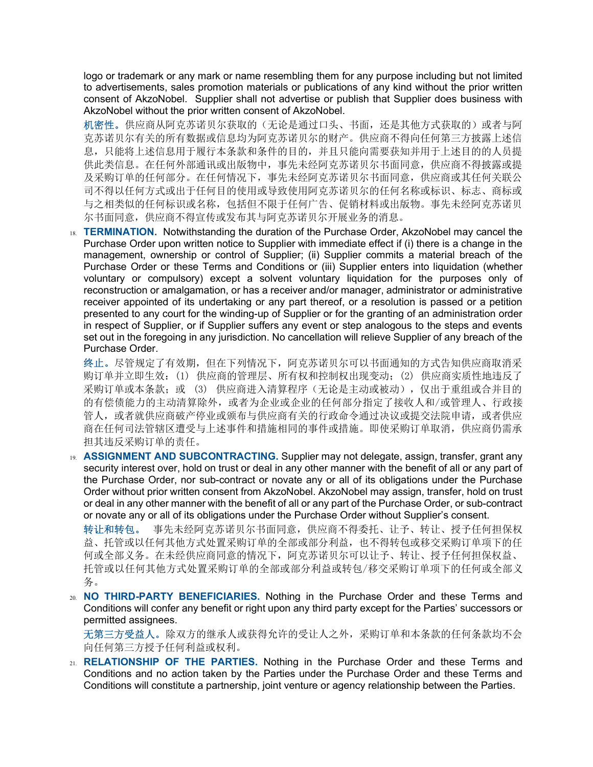logo or trademark or any mark or name resembling them for any purpose including but not limited to advertisements, sales promotion materials or publications of any kind without the prior written consent of AkzoNobel. Supplier shall not advertise or publish that Supplier does business with AkzoNobel without the prior written consent of AkzoNobel.

机密性。供应商从阿克苏诺贝尔获取的(无论是通过口头、书面,还是其他方式获取的)或者与阿 克苏诺贝尔有关的所有数据或信息均为阿克苏诺贝尔的财产。供应商不得向任何第三方披露上述信 息,只能将上述信息用于履行本条款和条件的目的,并且只能向需要获知并用于上述目的的人员提 供此类信息。在任何外部通讯或出版物中,事先未经阿克苏诺贝尔书面同意,供应商不得披露或提 及采购订单的任何部分。在任何情况下,事先未经阿克苏诺贝尔书面同意,供应商或其任何关联公 司不得以任何方式或出于任何目的使用或导致使用阿克苏诺贝尔的任何名称或标识、标志、商标或 与之相类似的任何标识或名称,包括但不限于任何广告、促销材料或出版物。事先未经阿克苏诺贝 尔书面同意,供应商不得宣传或发布其与阿克苏诺贝尔开展业务的消息。

18. **TERMINATION.** Notwithstanding the duration of the Purchase Order, AkzoNobel may cancel the Purchase Order upon written notice to Supplier with immediate effect if (i) there is a change in the management, ownership or control of Supplier; (ii) Supplier commits a material breach of the Purchase Order or these Terms and Conditions or (iii) Supplier enters into liquidation (whether voluntary or compulsory) except a solvent voluntary liquidation for the purposes only of reconstruction or amalgamation, or has a receiver and/or manager, administrator or administrative receiver appointed of its undertaking or any part thereof, or a resolution is passed or a petition presented to any court for the winding-up of Supplier or for the granting of an administration order in respect of Supplier, or if Supplier suffers any event or step analogous to the steps and events set out in the foregoing in any jurisdiction. No cancellation will relieve Supplier of any breach of the Purchase Order.

终止。尽管规定了有效期,但在下列情况下,阿克苏诺贝尔可以书面通知的方式告知供应商取消采 购订单并立即生效:(1) 供应商的管理层、所有权和控制权出现变动;(2) 供应商实质性地违反了 采购订单或本条款;或 (3) 供应商进入清算程序(无论是主动或被动),仅出于重组或合并目的 的有偿债能力的主动清算除外,或者为企业或企业的任何部分指定了接收人和/或管理人、行政接 管人,或者就供应商破产停业或颁布与供应商有关的行政命令通过决议或提交法院申请,或者供应 商在任何司法管辖区遭受与上述事件和措施相同的事件或措施。即使采购订单取消,供应商仍需承 担其违反采购订单的责任。

19. **ASSIGNMENT AND SUBCONTRACTING.** Supplier may not delegate, assign, transfer, grant any security interest over, hold on trust or deal in any other manner with the benefit of all or any part of the Purchase Order, nor sub-contract or novate any or all of its obligations under the Purchase Order without prior written consent from AkzoNobel. AkzoNobel may assign, transfer, hold on trust or deal in any other manner with the benefit of all or any part of the Purchase Order, or sub-contract or novate any or all of its obligations under the Purchase Order without Supplier's consent.

转让和转包。 事先未经阿克苏诺贝尔书面同意,供应商不得委托、让予、转让、授予任何担保权 益、托管或以任何其他方式处置采购订单的全部或部分利益,也不得转包或移交采购订单项下的任 何或全部义务。在未经供应商同意的情况下,阿克苏诺贝尔可以让予、转让、授予任何担保权益、 托管或以任何其他方式处置采购订单的全部或部分利益或转包/移交采购订单项下的任何或全部义 务。

20. NO THIRD-PARTY BENEFICIARIES. Nothing in the Purchase Order and these Terms and Conditions will confer any benefit or right upon any third party except for the Parties' successors or permitted assignees.

无第三方受益人。除双方的继承人或获得允许的受让人之外,采购订单和本条款的任何条款均不会 向任何第三方授予任何利益或权利。

21. RELATIONSHIP OF THE PARTIES. Nothing in the Purchase Order and these Terms and Conditions and no action taken by the Parties under the Purchase Order and these Terms and Conditions will constitute a partnership, joint venture or agency relationship between the Parties.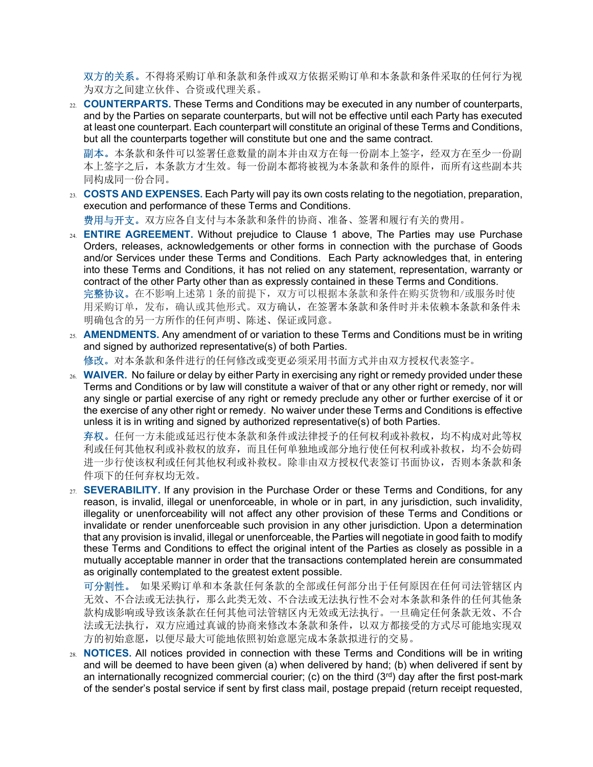双方的关系。不得将采购订单和条款和条件或双方依据采购订单和本条款和条件采取的任何行为视 为双方之间建立伙伴、合资或代理关系。

22. COUNTERPARTS. These Terms and Conditions may be executed in any number of counterparts, and by the Parties on separate counterparts, but will not be effective until each Party has executed at least one counterpart. Each counterpart will constitute an original of these Terms and Conditions, but all the counterparts together will constitute but one and the same contract.

副本。本条款和条件可以签署任意数量的副本并由双方在每一份副本上签字,经双方在至少一份副 本上签字之后,本条款方才生效。每一份副本都将被视为本条款和条件的原件,而所有这些副本共 同构成同一份合同。

23. COSTS AND EXPENSES. Each Party will pay its own costs relating to the negotiation, preparation, execution and performance of these Terms and Conditions.

费用与开支。双方应各自支付与本条款和条件的协商、准备、签署和履行有关的费用。

24. **ENTIRE AGREEMENT.** Without prejudice to Clause 1 above, The Parties may use Purchase Orders, releases, acknowledgements or other forms in connection with the purchase of Goods and/or Services under these Terms and Conditions. Each Party acknowledges that, in entering into these Terms and Conditions, it has not relied on any statement, representation, warranty or contract of the other Party other than as expressly contained in these Terms and Conditions. 完整协议。在不影响上述第 1 条的前提下,双方可以根据本条款和条件在购买货物和/或服务时使

用采购订单,发布,确认或其他形式。双方确认,在签署本条款和条件时并未依赖本条款和条件未 明确包含的另一方所作的任何声明、陈述、保证或同意。

25. AMENDMENTS. Any amendment of or variation to these Terms and Conditions must be in writing and signed by authorized representative(s) of both Parties. 修改。对本条款和条件进行的任何修改或变更必须采用书面方式并由双方授权代表签字。

 $26.$  WAIVER. No failure or delay by either Party in exercising any right or remedy provided under these Terms and Conditions or by law will constitute a waiver of that or any other right or remedy, nor will any single or partial exercise of any right or remedy preclude any other or further exercise of it or the exercise of any other right or remedy. No waiver under these Terms and Conditions is effective unless it is in writing and signed by authorized representative(s) of both Parties.

弃权。任何一方未能或延迟行使本条款和条件或法律授予的任何权利或补救权,均不构成对此等权 利或任何其他权利或补救权的放弃,而且任何单独地或部分地行使任何权利或补救权,均不会妨碍 进一步行使该权利或任何其他权利或补救权。除非由双方授权代表签订书面协议,否则本条款和条 件项下的任何弃权均无效。

27. **SEVERABILITY.** If any provision in the Purchase Order or these Terms and Conditions, for any reason, is invalid, illegal or unenforceable, in whole or in part, in any jurisdiction, such invalidity, illegality or unenforceability will not affect any other provision of these Terms and Conditions or invalidate or render unenforceable such provision in any other jurisdiction. Upon a determination that any provision is invalid, illegal or unenforceable, the Parties will negotiate in good faith to modify these Terms and Conditions to effect the original intent of the Parties as closely as possible in a mutually acceptable manner in order that the transactions contemplated herein are consummated as originally contemplated to the greatest extent possible.

可分割性。 如果采购订单和本条款任何条款的全部或任何部分出于任何原因在任何司法管辖区内 无效、不合法或无法执行,那么此类无效、不合法或无法执行性不会对本条款和条件的任何其他条 款构成影响或导致该条款在任何其他司法管辖区内无效或无法执行。一旦确定任何条款无效、不合 法或无法执行,双方应通过真诚的协商来修改本条款和条件,以双方都接受的方式尽可能地实现双 方的初始意愿,以便尽最大可能地依照初始意愿完成本条款拟进行的交易。

28. **NOTICES.** All notices provided in connection with these Terms and Conditions will be in writing and will be deemed to have been given (a) when delivered by hand; (b) when delivered if sent by an internationally recognized commercial courier; (c) on the third  $(3<sup>rd</sup>)$  day after the first post-mark of the sender's postal service if sent by first class mail, postage prepaid (return receipt requested,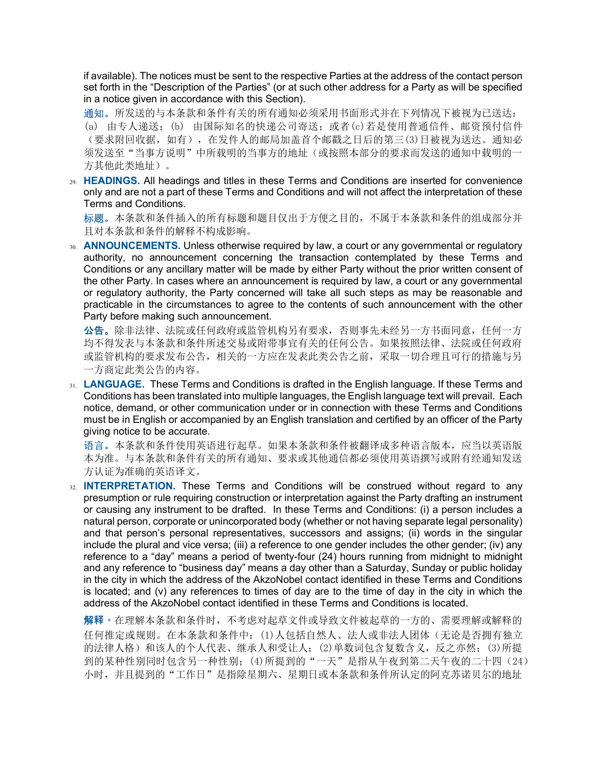if available). The notices must be sent to the respective Parties at the address of the contact person set forth in the "Description of the Parties" (or at such other address for a Party as will be specified in a notice given in accordance with this Section).

通知。所发送的与本条款和条件有关的所有通知必须采用书面形式并在下列情况下被视为已送达: (a) 由专人递送;(b) 由国际知名的快递公司寄送;或者(c)若是使用普通信件、邮资预付信件 (要求附回收据,如有),在发件人的邮局加盖首个邮戳之日后的第三(3)日被视为送达。通知必 须发送至"当事方说明"中所载明的当事方的地址(或按照本部分的要求而发送的通知中载明的一 方其他此类地址)。

29. HEADINGS. All headings and titles in these Terms and Conditions are inserted for convenience only and are not a part of these Terms and Conditions and will not affect the interpretation of these Terms and Conditions.

标题。本条款和条件插入的所有标题和题目仅出于方便之目的,不属于本条款和条件的组成部分并 且对本条款和条件的解释不构成影响。

30. **ANNOUNCEMENTS.** Unless otherwise required by law, a court or any governmental or regulatory authority, no announcement concerning the transaction contemplated by these Terms and Conditions or any ancillary matter will be made by either Party without the prior written consent of the other Party. In cases where an announcement is required by law, a court or any governmental or regulatory authority, the Party concerned will take all such steps as may be reasonable and practicable in the circumstances to agree to the contents of such announcement with the other Party before making such announcement.

公告。除非法律、法院或任何政府或监管机构另有要求,否则事先未经另一方书面同意,任何一方 均不得发表与本条款和条件所述交易或附带事宜有关的任何公告。如果按照法律、法院或任何政府 或监管机构的要求发布公告,相关的一方应在发表此类公告之前,采取一切合理且可行的措施与另 一方商定此类公告的内容。

31. **LANGUAGE.** These Terms and Conditions is drafted in the English language. If these Terms and Conditions has been translated into multiple languages, the English language text will prevail. Each notice, demand, or other communication under or in connection with these Terms and Conditions must be in English or accompanied by an English translation and certified by an officer of the Party giving notice to be accurate.

语言。本条款和条件使用英语进行起草。如果本条款和条件被翻译成多种语言版本,应当以英语版 本为准。与本条款和条件有关的所有通知、要求或其他通信都必须使用英语撰写或附有经通知发送 方认证为准确的英语译文。

32. **INTERPRETATION.** These Terms and Conditions will be construed without regard to any presumption or rule requiring construction or interpretation against the Party drafting an instrument or causing any instrument to be drafted. In these Terms and Conditions: (i) a person includes a natural person, corporate or unincorporated body (whether or not having separate legal personality) and that person's personal representatives, successors and assigns; (ii) words in the singular include the plural and vice versa; (iii) a reference to one gender includes the other gender; (iv) any reference to a "day" means a period of twenty-four (24) hours running from midnight to midnight and any reference to "business day" means a day other than a Saturday, Sunday or public holiday in the city in which the address of the AkzoNobel contact identified in these Terms and Conditions is located; and (v) any references to times of day are to the time of day in the city in which the address of the AkzoNobel contact identified in these Terms and Conditions is located.

解释。在理解本条款和条件时,不考虑对起草文件或导致文件被起草的一方的、需要理解或解释的 任何推定或规则。在本条款和条件中:(1)人包括自然人、法人或非法人团体(无论是否拥有独立 的法律人格)和该人的个人代表、继承人和受让人;(2)单数词包含复数含义,反之亦然;(3)所提 到的某种性别同时包含另一种性别;(4)所提到的"一天"是指从午夜到第二天午夜的二十四(24) 小时,并且提到的"工作日"是指除星期六、星期日或本条款和条件所认定的阿克苏诺贝尔的地址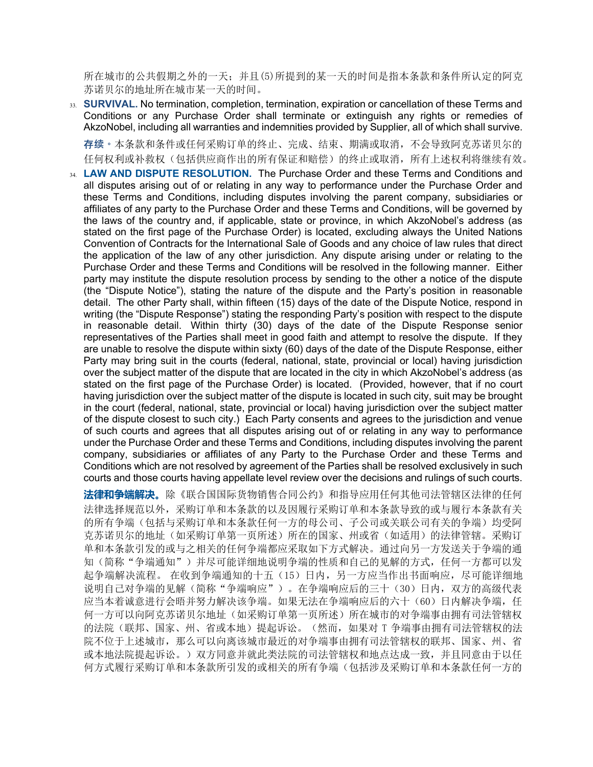所在城市的公共假期之外的一天;并且(5)所提到的某一天的时间是指本条款和条件所认定的阿克 苏诺贝尔的地址所在城市某一天的时间。

33. SURVIVAL. No termination, completion, termination, expiration or cancellation of these Terms and Conditions or any Purchase Order shall terminate or extinguish any rights or remedies of AkzoNobel, including all warranties and indemnities provided by Supplier, all of which shall survive.

存续。本条款和条件或任何采购订单的终止、完成、结束、期满或取消,不会导致阿克苏诺贝尔的 任何权利或补救权(包括供应商作出的所有保证和赔偿)的终止或取消,所有上述权利将继续有效。

34. LAW AND DISPUTE RESOLUTION. The Purchase Order and these Terms and Conditions and all disputes arising out of or relating in any way to performance under the Purchase Order and these Terms and Conditions, including disputes involving the parent company, subsidiaries or affiliates of any party to the Purchase Order and these Terms and Conditions, will be governed by the laws of the country and, if applicable, state or province, in which AkzoNobel's address (as stated on the first page of the Purchase Order) is located, excluding always the United Nations Convention of Contracts for the International Sale of Goods and any choice of law rules that direct the application of the law of any other jurisdiction. Any dispute arising under or relating to the Purchase Order and these Terms and Conditions will be resolved in the following manner. Either party may institute the dispute resolution process by sending to the other a notice of the dispute (the "Dispute Notice"), stating the nature of the dispute and the Party's position in reasonable detail. The other Party shall, within fifteen (15) days of the date of the Dispute Notice, respond in writing (the "Dispute Response") stating the responding Party's position with respect to the dispute in reasonable detail. Within thirty (30) days of the date of the Dispute Response senior representatives of the Parties shall meet in good faith and attempt to resolve the dispute. If they are unable to resolve the dispute within sixty (60) days of the date of the Dispute Response, either Party may bring suit in the courts (federal, national, state, provincial or local) having jurisdiction over the subject matter of the dispute that are located in the city in which AkzoNobel's address (as stated on the first page of the Purchase Order) is located. (Provided, however, that if no court having jurisdiction over the subject matter of the dispute is located in such city, suit may be brought in the court (federal, national, state, provincial or local) having jurisdiction over the subject matter of the dispute closest to such city.) Each Party consents and agrees to the jurisdiction and venue of such courts and agrees that all disputes arising out of or relating in any way to performance under the Purchase Order and these Terms and Conditions, including disputes involving the parent company, subsidiaries or affiliates of any Party to the Purchase Order and these Terms and Conditions which are not resolved by agreement of the Parties shall be resolved exclusively in such courts and those courts having appellate level review over the decisions and rulings of such courts.

法律和争端解决。除《联合国国际货物销售合同公约》和指导应用任何其他司法管辖区法律的任何 法律选择规范以外,采购订单和本条款的以及因履行采购订单和本条款导致的或与履行本条款有关 的所有争端(包括与采购订单和本条款任何一方的母公司、子公司或关联公司有关的争端)均受阿 克苏诺贝尔的地址(如采购订单第一页所述)所在的国家、州或省(如适用)的法律管辖。采购订 单和本条款引发的或与之相关的任何争端都应采取如下方式解决。通过向另一方发送关于争端的通 知(简称"争端通知")并尽可能详细地说明争端的性质和自己的见解的方式,任何一方都可以发 起争端解决流程。 在收到争端通知的十五(15)日内,另一方应当作出书面响应,尽可能详细地 说明自己对争端的见解(简称"争端响应")。在争端响应后的三十(30)日内,双方的高级代表 应当本着诚意进行会晤并努力解决该争端。如果无法在争端响应后的六十(60)日内解决争端,任 何一方可以向阿克苏诺贝尔地址(如采购订单第一页所述)所在城市的对争端事由拥有司法管辖权 的法院(联邦、国家、州、省或本地)提起诉讼。(然而,如果对 T 争端事由拥有司法管辖权的法 院不位于上述城市,那么可以向离该城市最近的对争端事由拥有司法管辖权的联邦、国家、州、省 或本地法院提起诉讼。)双方同意并就此类法院的司法管辖权和地点达成一致,并且同意由于以任 何方式履行采购订单和本条款所引发的或相关的所有争端(包括涉及采购订单和本条款任何一方的